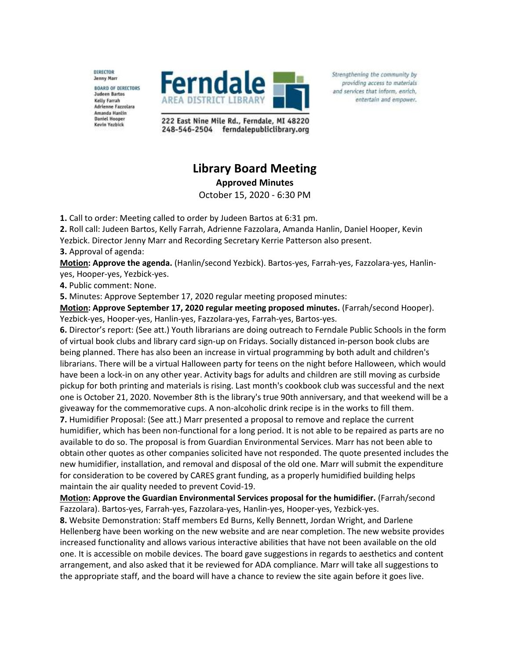DIRECTOR **Jenny Marr BOARD OF DIRECTORS Judeen Bartos Kelly Farrah Adrienne Fazzolara** Amanda Hantin **Daniel Hooper** Kevin Yezbick



222 East Nine Mile Rd., Ferndale, MI 48220 248-546-2504 ferndalepubliclibrary.org

## **Library Board Meeting Approved Minutes**

October 15, 2020 - 6:30 PM

**1.** Call to order: Meeting called to order by Judeen Bartos at 6:31 pm.

**2.** Roll call: Judeen Bartos, Kelly Farrah, Adrienne Fazzolara, Amanda Hanlin, Daniel Hooper, Kevin Yezbick. Director Jenny Marr and Recording Secretary Kerrie Patterson also present.

**3.** Approval of agenda:

**Motion: Approve the agenda.** (Hanlin/second Yezbick). Bartos-yes, Farrah-yes, Fazzolara-yes, Hanlinyes, Hooper-yes, Yezbick-yes.

**4.** Public comment: None.

**5.** Minutes: Approve September 17, 2020 regular meeting proposed minutes:

**Motion: Approve September 17, 2020 regular meeting proposed minutes.** (Farrah/second Hooper). Yezbick-yes, Hooper-yes, Hanlin-yes, Fazzolara-yes, Farrah-yes, Bartos-yes.

**6.** Director's report: (See att.) Youth librarians are doing outreach to Ferndale Public Schools in the form of virtual book clubs and library card sign-up on Fridays. Socially distanced in-person book clubs are being planned. There has also been an increase in virtual programming by both adult and children's librarians. There will be a virtual Halloween party for teens on the night before Halloween, which would have been a lock-in on any other year. Activity bags for adults and children are still moving as curbside pickup for both printing and materials is rising. Last month's cookbook club was successful and the next one is October 21, 2020. November 8th is the library's true 90th anniversary, and that weekend will be a giveaway for the commemorative cups. A non-alcoholic drink recipe is in the works to fill them. **7.** Humidifier Proposal: (See att.) Marr presented a proposal to remove and replace the current

humidifier, which has been non-functional for a long period. It is not able to be repaired as parts are no available to do so. The proposal is from Guardian Environmental Services. Marr has not been able to obtain other quotes as other companies solicited have not responded. The quote presented includes the new humidifier, installation, and removal and disposal of the old one. Marr will submit the expenditure for consideration to be covered by CARES grant funding, as a properly humidified building helps maintain the air quality needed to prevent Covid-19.

**Motion: Approve the Guardian Environmental Services proposal for the humidifier.** (Farrah/second Fazzolara). Bartos-yes, Farrah-yes, Fazzolara-yes, Hanlin-yes, Hooper-yes, Yezbick-yes.

**8.** Website Demonstration: Staff members Ed Burns, Kelly Bennett, Jordan Wright, and Darlene Hellenberg have been working on the new website and are near completion. The new website provides increased functionality and allows various interactive abilities that have not been available on the old one. It is accessible on mobile devices. The board gave suggestions in regards to aesthetics and content arrangement, and also asked that it be reviewed for ADA compliance. Marr will take all suggestions to the appropriate staff, and the board will have a chance to review the site again before it goes live.

Strengthening the community by providing access to materials and services that inform, enrich, entertain and empower.